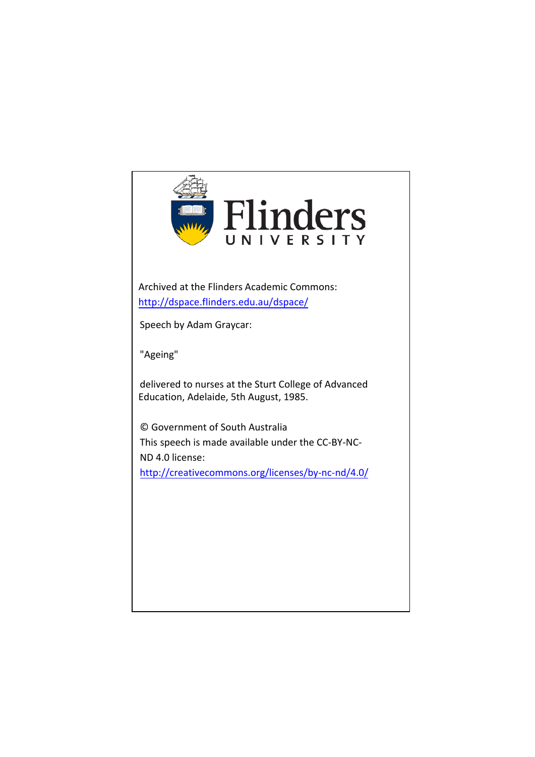

Archived at the Flinders Academic Commons: <http://dspace.flinders.edu.au/dspace/>

Speech by Adam Graycar:

"Ageing"

delivered to nurses at the Sturt College of Advanced Education, Adelaide, 5th August, 1985.

© Government of South Australia This speech is made available under the CC-BY-NC-[ND 4.0 license](http://creativecommons.org/licenses/by-nc-nd/4.0/): <http://creativecommons.org/licenses/by-nc-nd/4.0/>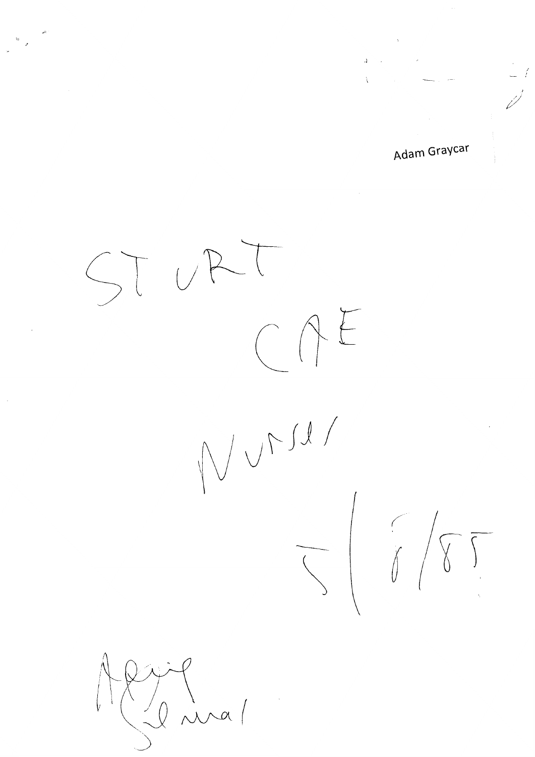**Adam Graycar** 

 $\sim$  ,  $\sim$  ,  $\sim$  ,  $\sim$  ,  $\sim$  ,  $\sim$  ,  $\sim$  ,  $\sim$  ,  $\sim$  ,  $\sim$  ,  $\sim$  ,  $\sim$  ,  $\sim$  ,  $\sim$  ,  $\sim$  ,  $\sim$  ,  $\sim$  ,  $\sim$  ,  $\sim$  ,  $\sim$  ,  $\sim$  ,  $\sim$  ,  $\sim$  ,  $\sim$  ,  $\sim$  ,  $\sim$  ,  $\sim$  ,  $\sim$  ,  $\sim$  ,  $\sim$  ,  $\sim$  ,  $\sim$ 

ST URT  $CAE$ fJ v"f *JI*  $140$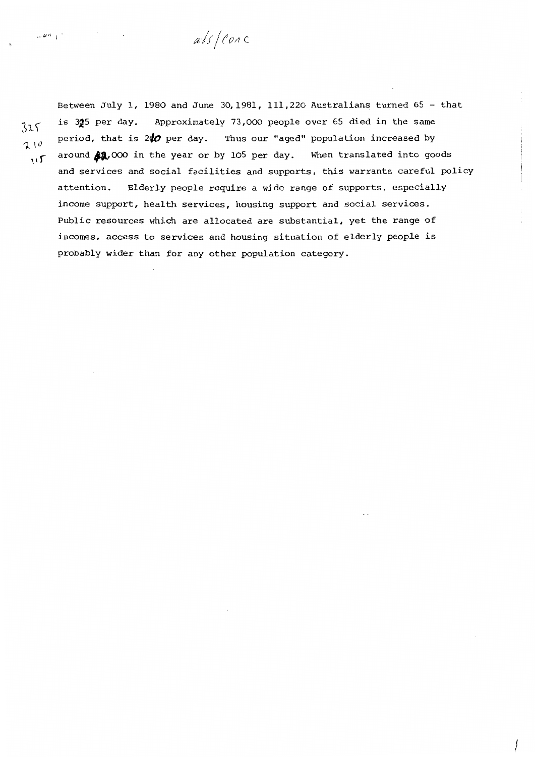abs/ conc

 $\mathbf{u}$ 

 $\sqrt{2}$   $\alpha$   $\alpha$ 

Between July 1, 1980 and June 30,1981, 111,220 Australians turned 65 - that is 305 per day. Approximately 73,000 people over 65 died in the same  $\frac{325}{10}$  is *sy* per day. Approximately 75,000 people over 65 died in the same<br>period, that is 200 per day. Thus our "aged" population increased by<br>caround 21,000 in the year or by 105 per day. When translated into go around  $\mathbf{12.000}$  in the year or by 105 per day. and services and social facilities and supports, this warrants careful policy attention. Elderly people require a wide range of supports, especially income support, health services, housing support and social services. Public resources **which** are allocated are substantial, yet the range of incomes, access to services and housing situation of elderly people is probably wider than for any other population category.

 $\begin{array}{c} \begin{array}{c} \end{array} \end{array}$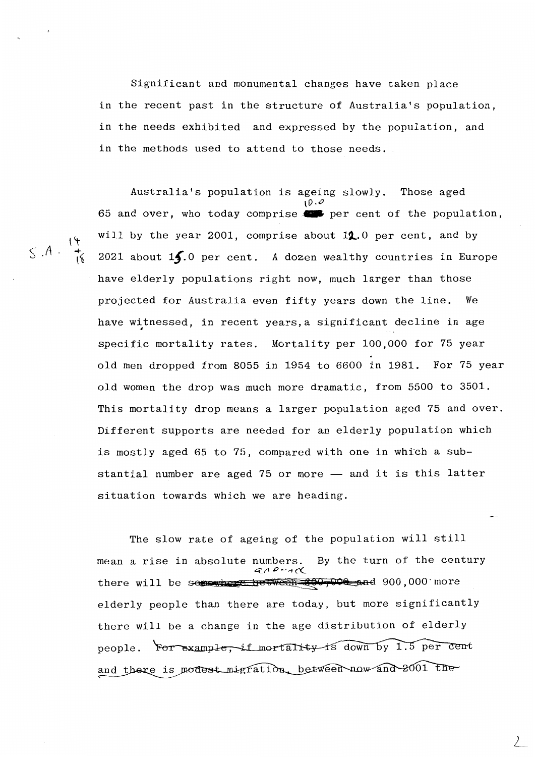Significant and monumental changes have taken place in the recent past in the structure of Australia's population, in the needs exhibited and expressed by the population, and in the methods used to attend to those needs.

Australia's population is ageing slowly. Those aged  $10.0$ 65 and over, who today comprise  $\bullet\bullet$  per cent of the population, will by the year 2001, comprise about 12.0 per cent, and by 2021 about **lf.o** per cent. A dozen wealthy countries in Europe have elderly populations right now, much larger than those projected for Australia even fifty years down the line. We have witnessed, in recent years, a significant decline in age specific mortality rates. Mortality per 100,000 for 75 year old men dropped from 8055 in 1954 to 6600 in 1981. For 75 year old women the drop was much more dramatic, from 5500 to 3501. This mortality drop means a larger population aged 75 and over. Different supports are needed for an elderly population which is mostly aged 65 to 75, compared with one in which a substantial number are aged 75 or more  $-$  and it is this latter situation towards which we are heading.

The slow rate of ageing of the population will still mean a rise in absolute numbers. By the turn of the century 4'\_;1 *p* --1 c(\_ there will be seperther between  $#90,000$ ,000 more elderly people than there are today, but more significantly there will be a change in the age distribution of elderly people. For example, if mortality is down by 1.5 per cent and there is modest migration, between now and 2001 the

*L* 

 $S.A. \frac{14}{16}$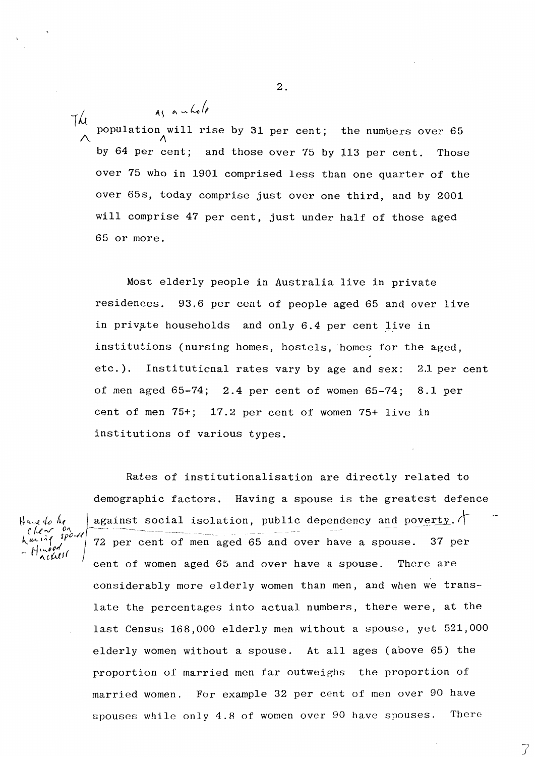$7\mu$  $\lambda$ population will will rise by 31 per cent; the numbers over 65 by 64 per cent; and those over 75 by 113 per cent. Those over 75 who in 1901 comprised less than one quarter of the over 65s, today comprise just over one third, and by 2001 will comprise 47 per cent, just under half of those aged 65 or more.

Most elderly people in Australia live in private residences. 93.6 per cent of people aged 65 and over live in private households and only 6.4 per cent live in institutions (nursing homes, hostels, homes for the aged, etc.). Institutional rates vary by age and sex: 2.1 per cent of men aged 65-74; 2.4 per cent of women 65-74; 8.1 per cent of men 75+; 17.2 per cent of women 75+ live in institutions of various types.

h ur i  $\sim$   $\mu$ 

Rates of institutionalisation are directly related to demographic factors. Having a spouse is the greatest defence against social isolation, public dependency and poverty.  $\uparrow$ 72 per cent of men aged 65 and over have a spouse. 37 per cent of women aged 65 and over have a spouse. There are considerably more elderly women than men, and when we translate the percentages into actual numbers, there were, at the last Census 168,000 elderly men without a spouse, yet 521,000 elderly women without a spouse. At all ages (above 65) the proportion of married men far outweighs the proportion of married women. For example 32 per cent of men over 90 have spouses while only 4.8 of women over 90 have spouses. There

> 7 *)*

2.

 $\alpha$   $\alpha$   $\alpha$   $\beta$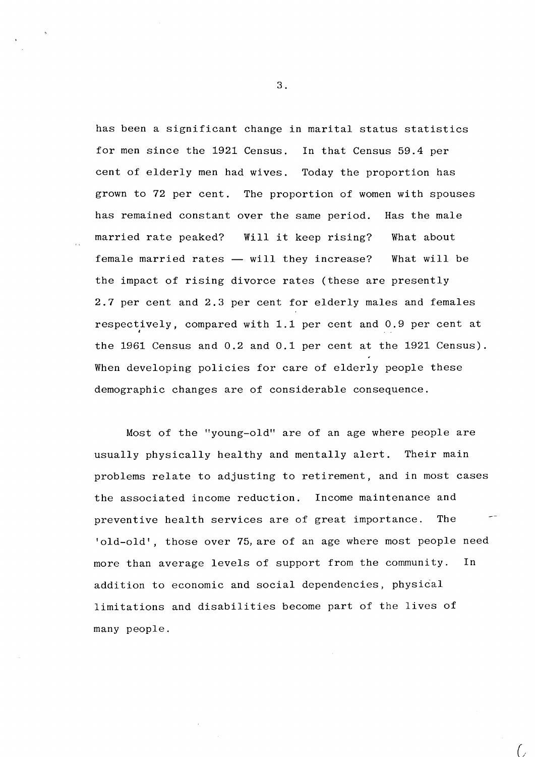has been a significant change in marital status statistics for men since the 1921 Census. In that Census 59.4 per cent of elderly men had wives. Today the proportion has grown to 72 per cent. The proportion of women with spouses has remained constant over the same period. Has the male married rate peaked? Will it keep rising? female married rates  $-$  will they increase? What about What will be the impact of rising divorce rates (these are presently 2.7 per cent and 2.3 per cent for elderly males and females respectively, compared with 1.1 per cent and 0.9 per cent at ' the 1961 Census and 0.2 and 0.1 per cent at the 1921 Census). When developing policies for care of elderly people these demographic changes are of considerable consequence.

Most of the "young-old" are of an age where people are usually physically healthy and mentally alert. Their main problems relate to adjusting to retirement, and in most cases the associated income reduction. Income maintenance and preventive health services are of great importance. The 'old-old', those over 75, are of an age where most people need more than average levels of support from the community. In addition to economic and social dependencies, physical limitations and disabilities become part of the lives of many people.

3.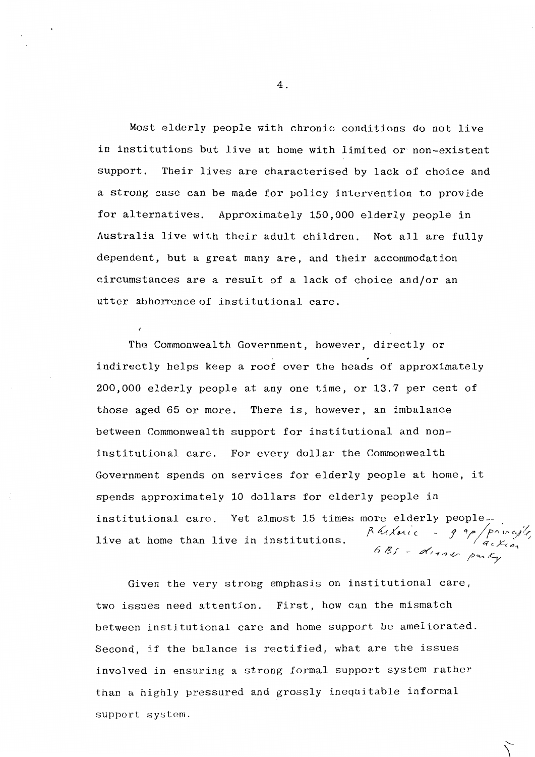Most elderly people with chronic conditions do not live in institutions but live at home with limited or non-existent support. Their lives are characterised by lack of choice and a strong case can be made for policy intervention to provide for alternatives. Approximately 150,000 elderly people in Australia live with their adult children. Not all are fully dependent, but a great many are, and their accommodation circumstances are a result of a lack of choice and/or an utter abhorrence of institutional care.

The Commonwealth Government, however, directly or indirectly helps keep a roof over the heads of approximately 200,000 elderly people at any one time, or 13.7 per cent of those aged 65 or more. There is, however, an imbalance between Commonwealth support for institutional and noninstitutional care. For every dollar the Commonwealth Government spends on services for elderly people at home, it spends approximately 10 dollars for elderly people in institutional care. Yet almost 15 times more elderly peoplelive at home than live in institutions. Rutting of the princessly, 6 Bs - dinner park,

Given the very strong emphasis on institutional care, two issues need attention. First, how can the mismatch between institutional care and home support be ameliorated. Second, if the balance is rectified, what are the issues involved in ensuring a strong formal support system rather than a highly pressured and grossly inequitable informal support system.

4.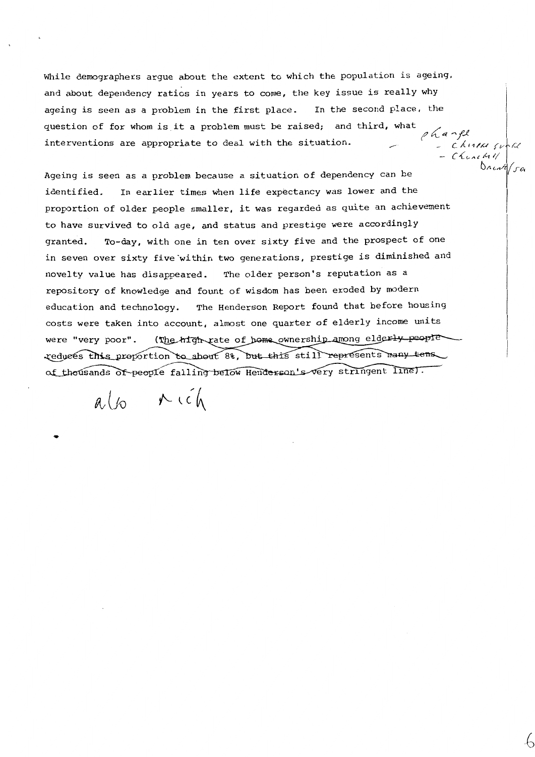While demographers argue about the extent to which the population is ageing, and about dependency ratios in years to come, the key issue is really why ageing is seen as a problem in the first place. In the second place, the question of for whom is it a problem must be raised; and third, what interventions are appropriate to deal with the situation. *fl* tC ~ *,,,,\_l.,e* - *CA.* 11/µ *1v /''-('* 

 $Chuchu$ 

 $\Delta$ *n l*  $\pi$ 

Ageing is seen as a problem because a situation of dependency can be identified. In earlier times when life expectancy was lower and the proportion of older people smaller, it was regarded as quite an achievement to have survived to old age, and status and prestige were accordingly granted. To-day, with one in ten over sixty five and the prospect of one in seven over sixty five within two generations, prestige is diminished and novelty value has disappeared. The older person's reputation as a repository of knowledge and fount of wisdom has been eroded by modern education and technology. The Henderson Report found that before housing costs were taken into account, almost one quarter of elderly income units (The high rate of home ownership among elderly people were "very poor". reduces this proportion to about 8%, but this still represents many tens. of thousands of people falling below Henderson's very stringent line.

 $a\ell$   $\sim$   $i\ell$ 

...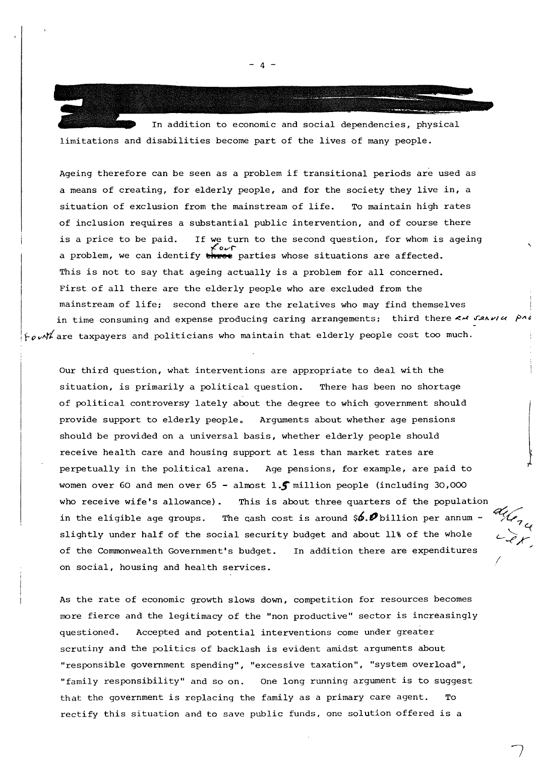In addition to economic and social dependencies, physical limitations and disabilities become part of the lives of many people.

Ageing therefore can be seen as a problem if transitional periods are used as a means of creating, for elderly people, and for the society they live **in,** <sup>a</sup> situation of exclusion from the mainstream of life. To maintain high rates of inclusion requires a substantial public intervention, and of course there is a price to be paid. If we turn to the second question, for whom is ageing a problem, we can identify three parties whose situations are affected. This is not to say that ageing actually is a problem for all concerned. First of all there are the elderly people who are excluded from the mainstream of life; second there are the relatives who may find themselves in time consuming and expense producing caring arrangements; third there < x san i PA *,fov~tiare* taxpayers and politicians who maintain that elderly people cost too much.

Our third question, what interventions are appropriate to deal with the situation, is primarily a political question. There has been no shortage of political controversy lately about the degree to which government should provide support to elderly people. Arguments about whether age pensions should be provided on a universal basis, whether elderly people should receive health care and housing support at less than market rates are perpetually in the political arena. Age pensions, for example, are paid to women over 60 and men over 65 - almost l.f million people (including 30,000 who receive wife's allowance). This is about three quarters of the population in the eligible age groups. The cash cost is around  $\oint$ .  $\oint$  billion per annum slightly under half of the social security budget and about 11% of the whole of the Commonwealth Government's budget. In addition there are expenditures on social, housing and health services.

/

As the rate of economic growth slows down, competition for resources becomes more fierce and the legitimacy of the "non productive" sector is increasingly questioned. Accepted and potential interventions come under greater scrutiny and the politics of backlash is evident amidst arguments about "responsible government spending", "excessive taxation", "system overload", "family responsibility" and so on. One long running argument is to suggest that the government is replacing the family as a primary care agent. To rectify this situation and to save public funds, one solution offered is a

 $-4$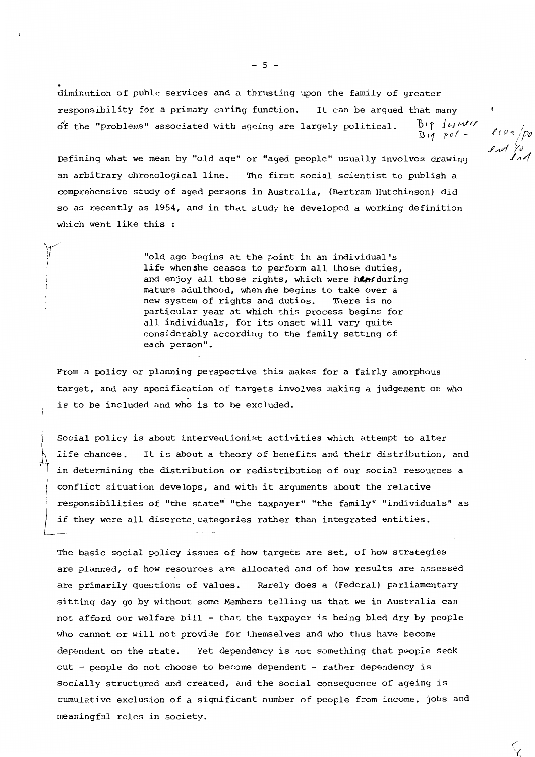.<br>:<br>: . . diminution of publc services and a thrusting upon the family of greater responsibility for a primary caring function.  $o'$ f the "problems" associated with ageing are largely political. It can be arqued that many  $b$ ip Justa $''$ n,1 *po(* -

 $e$ con po

Defining what we mean by "old age" or "aged people" usually involves drawing an arbitrary chronological line. The first social scientist to publish a comprehensive study of aged persons in Australia, (Bertram Hutchinson) did so as recently as 1954, and in that study he developed a working definition which went like this :

:,

"old age begins at the point in an individual's life whenshe ceases to perform all those duties, and enjoy all those rights, which were hes during mature adulthood, when the begins to take over a new system of rights and duties. There is no particular year at which this process begins for all individuals, for its onset will vary quite considerably according to the family setting of each person".

From a policy or planning perspective this makes for a fairly amorphous target, and any specification of targets involves making a judgement on who is to be included and who is to be excluded.<br>Social policy is about interventionist activities which attempt to alter

life chances. It is about a theory of benefits and their distribution, and in determining the distribution or redistribution of our social resources a conflict situation develops, and with it arguments about the relative responsibilities of "the state" "the taxpayer" "the family" "individuals" as if they were all discrete categories rather than integrated entities.

The basic social policy issues of how targets are set, of how strategies are planned, of how resources are allocated and of how results are assessed are primarily questions of values. Rarely does a (Federal) parliamentary sitting day go by without some Members telling us that we in Australia can not afford our welfare bill - that the taxpayer is being bled dry by people who cannot or will not provide for themselves and who thus have become dependent on the state. Yet dependency is not something that people seek out - people do not choose to become dependent - rather dependency is socially structured and created, and the social consequence of ageing is cumulative exclusion of a significant number of people from income, jobs and meaningful roles in society.

 $-5 -$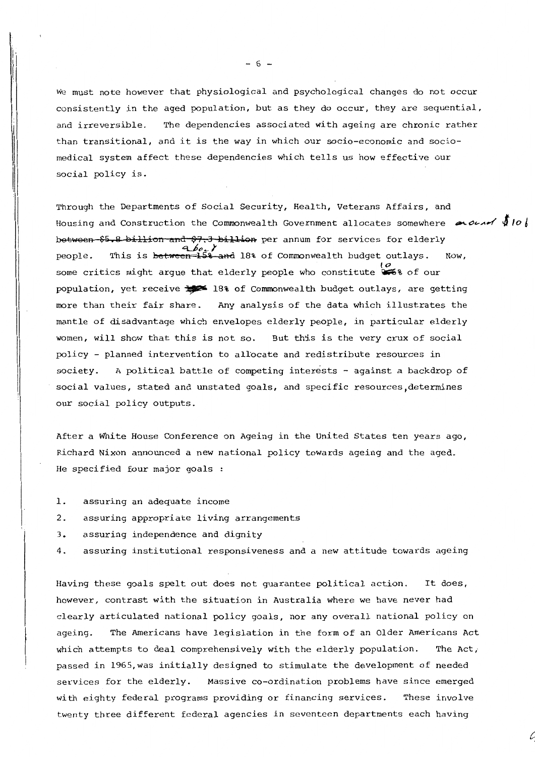We must note however that physiological and psychological changes do not occur consistently in the aged population, but as they do occur, they are sequential, and irreversible. The dependencies associated with ageing are chronic rather than transitional, and it is the way in which our socio-economic and sociomedical system affect these dependencies which tells us how effective our social policy is.

Through the Departments of Social Security, Health, Veterans Affairs, and Housing and Construction the Commonwealth Government allocates somewhere  $\sim$  0  $\sim$ between \$5.8 billion and \$7.3 billion per annum for services for elderly people. This is **between 15% and** 18% of Commonwealth budget outlays. Now, o<br>some critics might argue that elderly people who constitute <sup>06</sup>% of our population, yet receive  $\frac{1}{2}$  18% of Commonwealth budget outlays, are getting more than their fair share. Any analysis of the data which illustrates the mantle of disadvantage which envelopes elderly people, in particular elderly women, will show that this is not so. But this is the very crux of social policy - planned intervention to allocate and redistribute resources in society. A political battle of competing interests - against a backdrop of social values, stated and unstated goals, and specific resources, determines our social policy outputs.

After a White House Conference on Ageing in the United States ten years ago, Richard Nixon announced a new national policy towards ageing and the aged. He specified four major goals

- 1. assuring an adequate income
- 2. assuring appropriate living arrangements
- 3. assuring independence and dignity
- 4. assuring institutional responsiveness and a new attitude towards ageing

Having these goals spelt out does not guarantee political action. It does, however, contrast with the situation in Australia where we have never had clearly articulated national policy goals, nor any overall national policy on ageing. The Americans have legislation in the form of an Older Americans Act which attempts to deal comprehensively with the elderly population. The Act, passed in 1965,was initially designed to stimulate the development of needed services for the elderly. Massive co-ordination problems have since emerged with eighty federal programs providing or financing services. These involve twenty three different federal agencies in seventeen departments each having

- 6 -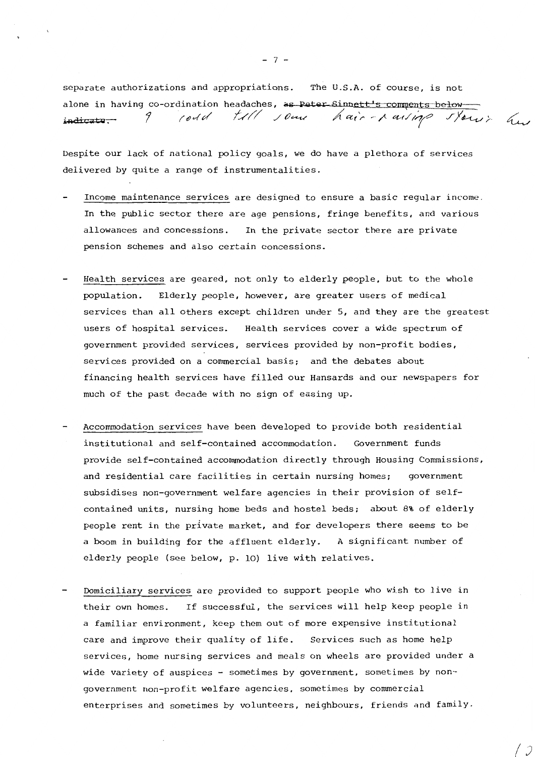separate authorizations and appropriations. The U.S.A. of course, is not alone in having co-ordination headaches, as Peter Sinnett's comments belowindicate. 9 rould till *jour hair-raising stown has* 

Despite our lack of national policy goals, we do have a plethora of services delivered by quite a range of instrumentalities.

- Income maintenance services are designed to ensure a basic regular income. In the public sector there are age pensions, fringe benefits, and various allowances and concessions. In the private sector there are private pension schemes and also certain concessions.
- Health services are geared, not only to elderly people, but to the whole population. Elderly people, however, are greater users of medical services than all others except children under 5, and they are the greatest users of hospital services. Health services cover a wide spectrum of government provided services, services provided by non-profit bodies, services provided on a commercial basis; and the debates about financing health services have filled our Hansards and our newspapers for much of the past decade with no sign of easing up.
- Accommodation services have been developed to provide both residential institutional and self-contained accommodation. Government funds provide self-contained accommodation directly through Housing Commissions, and residential care facilities in certain nursing homes; government subsidises non-government welfare agencies in their provision of selfcontained units, nursing home beds and hostel beds; about 8% of elderly people rent in the private market, and for developers there seems to be a boom in building for the affluent elderly. A significant number of elderly people (see below, p. 10) live with relatives.
- Domiciliary services are provided to support people who wish to live in their own homes. If successful, the services will help keep people in a familiar environment, keep them out of more expensive institutional care and improve their quality of life. Services such as home help services, home nursing services and meals on wheels are provided under a wide variety of auspices - sometimes by government, sometimes by nongovernment non-profit welfare agencies, sometimes by commercial enterprises and sometimes by volunteers, neighbours, friends and family.

*(J* 

 $- 7 -$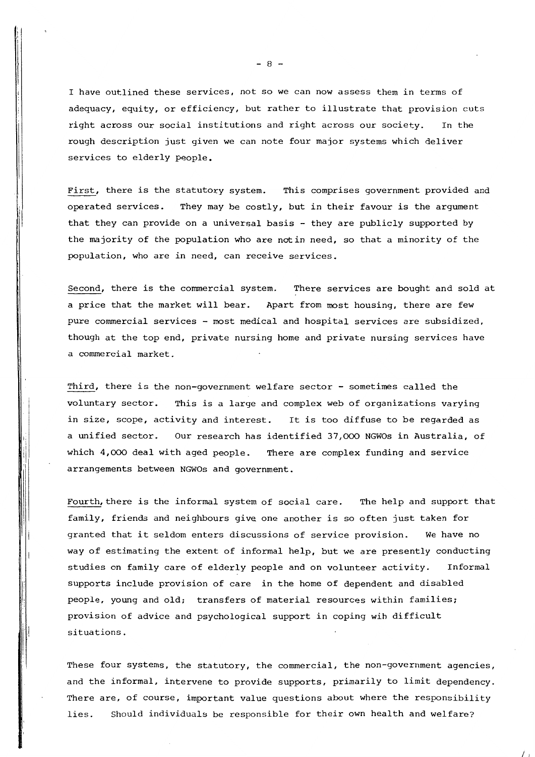I have outlined these services, not so we can now assess them in terms of adequacy, equity, or efficiency, but rather to illustrate that provision cuts right across our social institutions and right across our society. In the rough description just given we can note four major systems which deliver services to elderly people.

First, there is the statutory system. This comprises government provided and operated services. They may be costly, but in their favour is the argument that they can provide on a universal basis - they are publicly supported by the majority of the population who are notin need, so that a minority of the population, who are in need, can receive services.

Second, there is the commercial system. There services are bought and sold at a price that the market will bear. Apart from most housing, there are few pure commercial services - most medical and hospital services are subsidized, though at the top end, private nursing home and private nursing services have a commercial market.

Third, there is the non-government welfare sector - sometimes called the voluntary sector. This is a large and complex web of organizations varying in size, scope, activity and interest. It is too diffuse to be regarded as a unified sector. Our research has identified 37,000 NGWOs in Australia, of which 4,000 deal with aged people. There are complex funding and service arrangements between NGWOs and government.

Ii . i

> $\mathbf{u}$  $\mathbf{r}$

Fourth, there is the informal system of social care. The help and support that family, friends and neighbours give one another is so often just taken for granted that it seldom enters discussions of service provision. We have no way of estimating the extent of informal help, but we are presently conducting studies on family care of elderly people and on volunteer activity. Informal supports include provision of care in the home of dependent and disabled people, young and old; transfers of material resources within families; provision of advice and psychological support in coping wih difficult situations.

These four systems, the statutory, the commercial, the non-government agencies, and the informal, intervene to provide supports, primarily to limit dependency. There are, of course, important value questions about where the responsibility lies. Should individuals be responsible for their own health and welfare?

 $\frac{1}{2}$ 

 $- 8 -$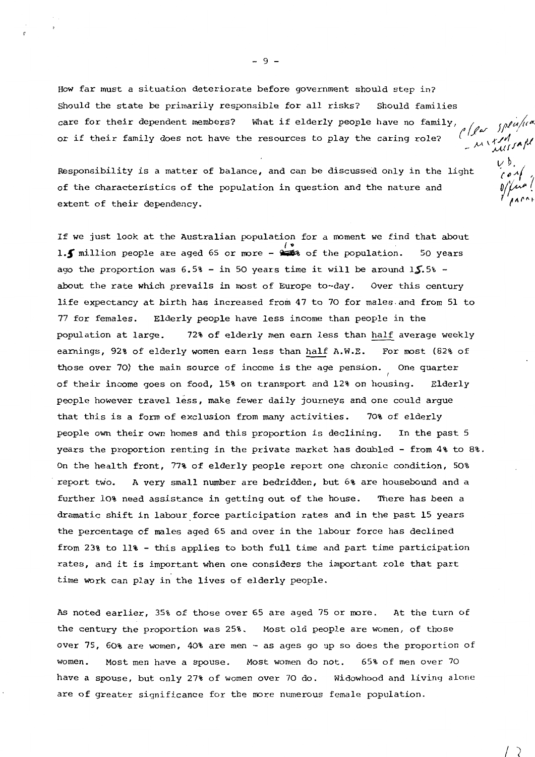How far must a situation deteriorate before government should step in? Should the state be primarily responsible for all risks? Should families<br>care for their dependent members? What if elderly people have no family,<br>or if their family does not have the resources to play the caring role? care for their dependent members? What if elderly people have no family, or if their family does not have the resources to play the caring role? *(* \ ,r /4 *I}* ,,, *µ* **,(,,<,({/A/"** 

Responsibility is a matter of balance, and can be discussed only in the light  $\overrightarrow{C_{\ell}}$ of the characteristics of the population in question and the nature and  $\frac{1}{\sqrt{m}}$ extent of their dependency.

If we just look at the Australian population for a moment we find that about I. The position is the population. So years<br>**1.**T million people are aged 65 or more -  $\frac{1}{2}$  of the population. 50 years ago the proportion was  $6.5%$  - in 50 years time it will be around  $15.5%$  about the rate which prevails in most of Europe to-day. Over this century life expectancy at birth has increased from 47 to 70 for males.and from 51 to 77 for females. Elderly people have less income than people in the population at large. 72% of elderly men earn less than half average weekly earnings, 92% of elderly women earn less than half A.W.E. For most (82% of those over 70) the main source of income is the age pension. One quarter of their income goes on food, 15% on transport and 12% on housing. Elderly people however travel less, make fewer daily journeys and one could argue that this is a form of exclusion from many activities. 70% of elderly people own their own homes and this proportion is declining. In the past 5 years the proportion renting in the private market has doubled - from 4% to 8%. On the health front, 77% of elderly people report one chronic condition, 50% . report two. **A** very small number are bedridden, but 6% are housebound and a further 10% need assistance in getting out of the house. There has been a dramatic shift in labour force participation rates and in the past 15 years the percentage of males aged 65 and over in the labour force has declined from 23% to 11% - this applies to both full time and part time participation rates, and it is important when one considers the important role that part time work can play in the lives of elderly people.

As noted earlier, 35% of those over 65 are aged 75 or more. At the turn of the century the proportion was 25%. Most old people are women, of those over 75, 60% are women, 40% are men - as ages go up so does the proportion of women. Most men have a spouse. Most women do not. 65% of men over 70 have a spouse, but only 27% of women over 70 do. Widowhood and living alone are of greater significance for the more numerous female population.

 $\sqrt{2}$ 

- 9 -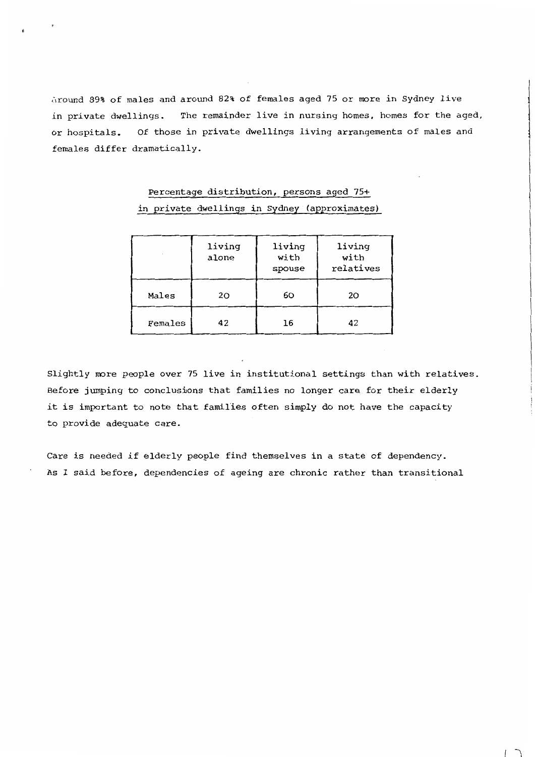Around 89% of males and around 82% of females aged 75 or more in Sydney live in private dwellings. The remainder live in nursing homes, homes for the aged, or hospitals. Of those in private dwellings living arrangements of males and females differ dramatically.

|         | living<br>alone | living<br>with<br>spouse | living<br>with<br>relatives |
|---------|-----------------|--------------------------|-----------------------------|
| Males   | 20              | 60                       | 20                          |
| Females | 42              | 16                       | 42                          |

## Percentage distribution, persons aged 75+ in private dwellings in Sydney (approximates)

Slightly more people over 75 live in institutional settings than with relatives. Before jumping to conclusions that families no longer care for their elderly it is important to note that families often simply do not have the capacity to provide adequate care.

Care is needed if elderly people find themselves in a state of dependency. As I said before, dependencies of ageing are chronic rather than transitional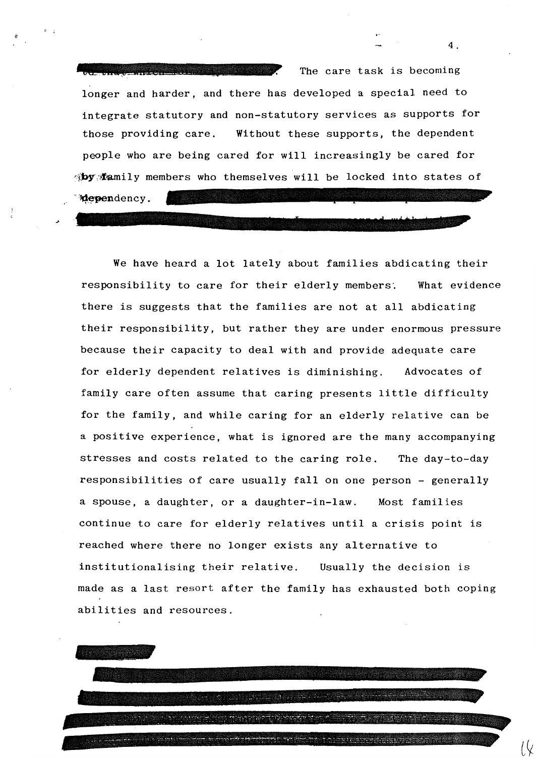The care task is becoming longer and harder, and there has developed a special need to integrate statutory and non-statutory services as supports for those providing care. Without these supports, the dependent people who are being cared for will increasingly be cared for **by family members who themselves will be locked into states of dependency.** 

 $\overline{\phantom{a}}$ 

4.

We have heard a lot lately about families abdicating their responsibility to care for their elderly members. What evidence there is suggests that the families are not at all abdicating their responsibility, but rather they are under enormous pressure because their capacity to deal with and provide adequate care for elderly dependent relatives is diminishing. Advocates of family care often assume that caring presents little difficulty for the family, and while caring for an elderly relative can be a positive experience, what is ignored are the many accompanying stresses and costs related to the caring role. The day-to-day responsibilities of care usually fall on one person - generally a spouse, a daughter, or a daughter-in-law. Most families continue to care for elderly relatives until a crisis point is reached where there no longer exists any alternative to institutionalising their relative. Usually the decision is made as a last resort after the family has exhausted both coping abilities and resources.

A SAN DI SAN DI SAN DI SAN DI SAN DI SAN DI SAN DI SAN DI SAN DI SAN DI SAN DI SAN DI SAN DI SAN DI SAN DI SA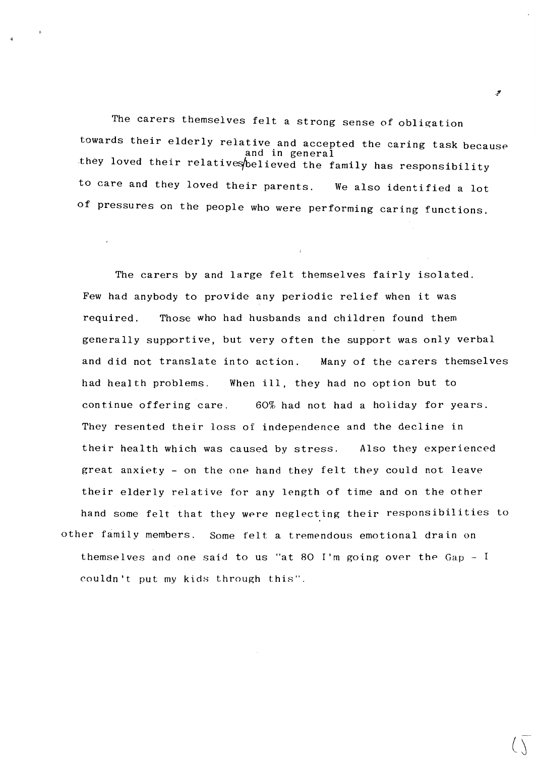The carers themselves felt a strong sense of obligation towards their elderly relative and accepted the caring task because and in general they loved their relatives believed the family has responsibility to care and they loved their parents. We also identified a lot of pressures on the people who were performing caring functions.

The carers by and large felt themselves fairly isolated. Few had anybody to provide any periodic relief when it was required. Those who had husbands and children found them generally supportive, but very often the support was only verbal and did not translate into action. Many of the carers themselves had health problems. When ill, they had no option but to continue offering care. 60% had not had a holiday for years. They resented their loss of independence and the decline in their health which was caused by stress. Also they experienced great anxiety - on the one hand they felt they could not leave their elderly relative for any length of time and on the other hand some felt that they were neglecting their responsibilities to other family members. Some felt a tremendous emotional drain on themselves and one said to us "at 80 I'm going over the  $Gap - I$ couldn't put my kids through this".

ىقى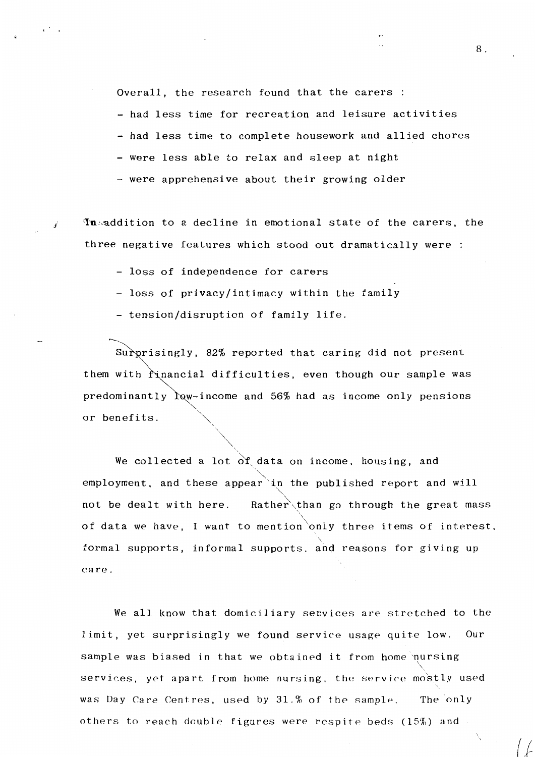Overall, the research found that the carers :

- had less time for recreation and leisure activities

- had less time to complete housework and allied chores

- were less able to relax and sleep at night

- were apprehensive about their growing older

**In addition to a decline in emotional state of the carers, the** three negative features which stood out dramatically were :

- loss of independence for carers

- loss of privacy/intimacy within the family

- tension/disruption of family life.

Surprisingly, 82% reported that caring did not present them with rinancial difficulties, even though our sample was predominantly  $\alpha$ -income and 56% had as income only pensions or benefits.

'\<br>... We collected a lot  $\overrightarrow{or}$  data on income, housing, and employment, and these appear in the published report and will not be dealt with here. Rather than go through the great mass '\ of data we have, I want to mention only three items of interest. formal supports, informal supports. and reasons for giving up care.

We all know that domiciliary services are stretched to the limit, yet surprisingly we found service usage quite low. Our sample was biased in that we obtained it from home nursing services, yet apart from home nursing, the service mostly used '· was Day Care Centres, used by 31.% of the sample. The only others to reach double figures were respite beds (15%) and

8.

*(l*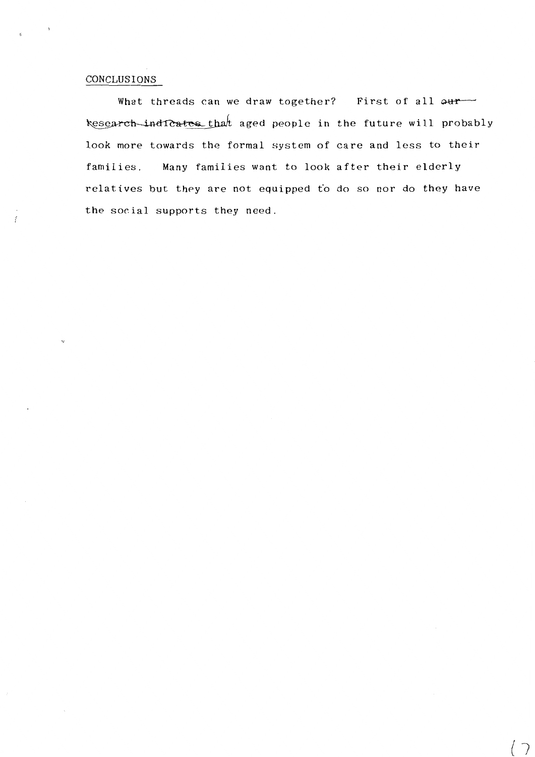## CONCLUSIONS

What threads can we draw together? First of all  $\omega$ kesearch-ind testes that aged people in the future will probably look more towards the formal system of care and less to their families. Many families want to look after their elderly relatives but they are not equipped to do so nor do they have the social supports they need.

*{* 1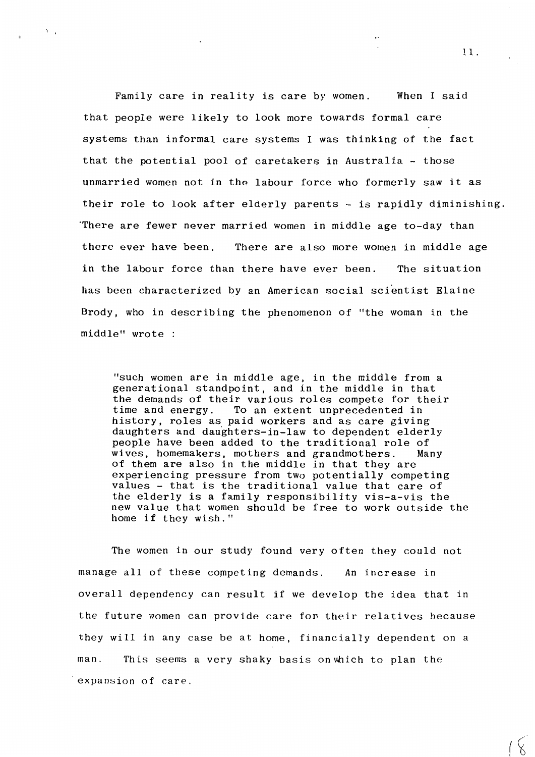Family care in reality is care by women. When I said that people were likely to look more towards formal care systems than informal care systems I was thinking of the fact that the potential pool of caretakers in Australia - those unmarried women not in the labour force who formerly saw it as their role to look after elderly parents - is rapidly diminishing. ·There are fewer never married women in middle age to-day than there ever have been. There are also more women in middle age in the labour force than there have ever been. The situation has been characterized by an American social scientist Elaine Brody, who in describing the phenomenon of "the woman in the middle" wrote

 $\Delta \sim 1$ 

"such women are in middle age, in the middle from a generational standpoint, and in the middle in that the demands of their various roles compete for their<br>time and energy. To an extent unprecedented in To an extent unprecedented in history, roles as paid workers and as care giving daughters and daughters-in-law to dependent elderly people have been added to the traditional role of<br>wives, homemakers, mothers and grandmothers. Many wives, homemakers, mothers and grandmothers. of them are also in the middle in that they are experiencing pressure from two potentially competing values - that is the traditional value that care of the elderly is a family responsibility vis-a-vis the new value that women should be free to work outside the home if they wish."

The women in our study found very often they could not manage all of these competing demands. An increase in overall dependency can result if we develop the idea that in the future women can provide care for- their relatives because they will in any case be at home, financially dependent on a man. This seems a very shaky basis on which to plan the expansion of care.

11.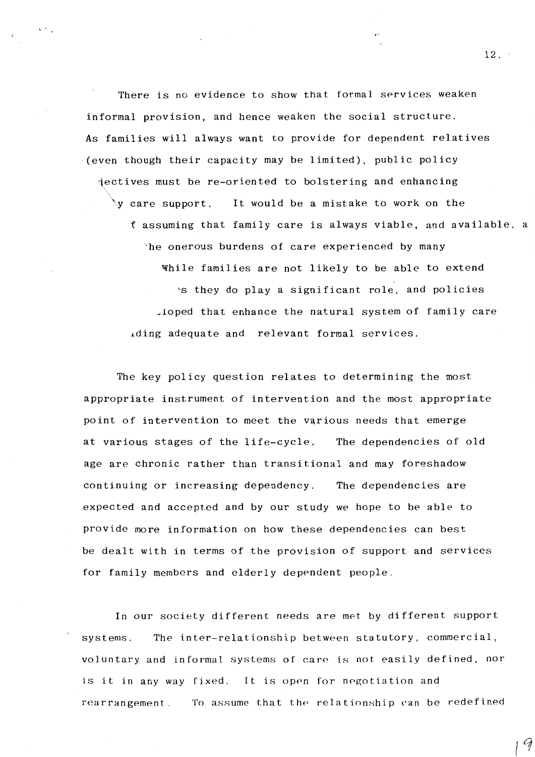There is no evidence to show that formal services weaken informal provision, and hence weaken the social structure. As families will always want to provide for dependent relatives (even though their capacity may be limited), public policy 1ectives must be re-oriented to bolstering and enhancing  $\forall$ y care support, It would be a mistake to work on the *<sup>t</sup>*assuming that family care is always viable, and available, a 'he onerous burdens of care experienced by many While families are not likely to be able to extend 'S they do play a significant role, and policies ~loped that enhance the natural system of family care iding adequate and relevant formal services.

''

The key policy question relates to determining the most appropriate instrument of intervention and the most appropriate point of intervention to meet the various needs that emerge at various stages of the life-cycle. The dependencies of old age are chronic rather than transitional and may foreshadow continuing or increasing dependency. The dependencies are expected and accepted and by our study we hope to be able to provide more information on how these dependencies can best be dealt with in terms of the provision of support and services for family members and elderly dependent people.

In our society different needs are met by different support systems. The inter-relationship between statutory, commercial, voluntary and informal systems of care is not easily defined, nor is it in any way fixed. It is open for negotiation and rearrangement. To assume that the relationship can be redefined

12.

 $\mathcal Q$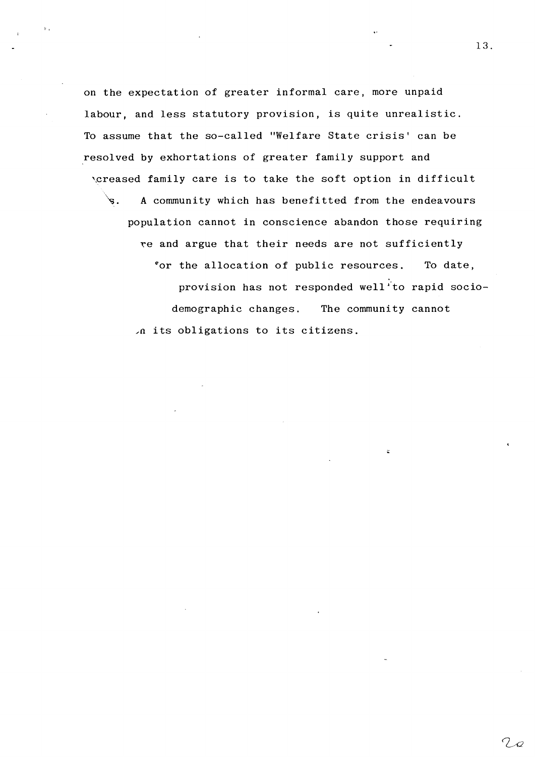on the expectation of greater informal care, more unpaid labour, and less statutory provision, is quite unrealistic. To assume that the so-called "Welfare State crisis' can be resolved by exhortations of greater family support and 'Creased family care is to take the soft option in difficult  $\sqrt{s}$ . A community which has benefitted from the endeavours population cannot in conscience abandon those requiring \e and argue that their needs are not sufficiently

*b'* 

for the allocation of public resources. To date, provision has not responded well to rapid sociodemographic changes. The community cannot */a* its obligations to its citizens.

 $\ddot{\phantom{a}}$ 

 $7\varphi$